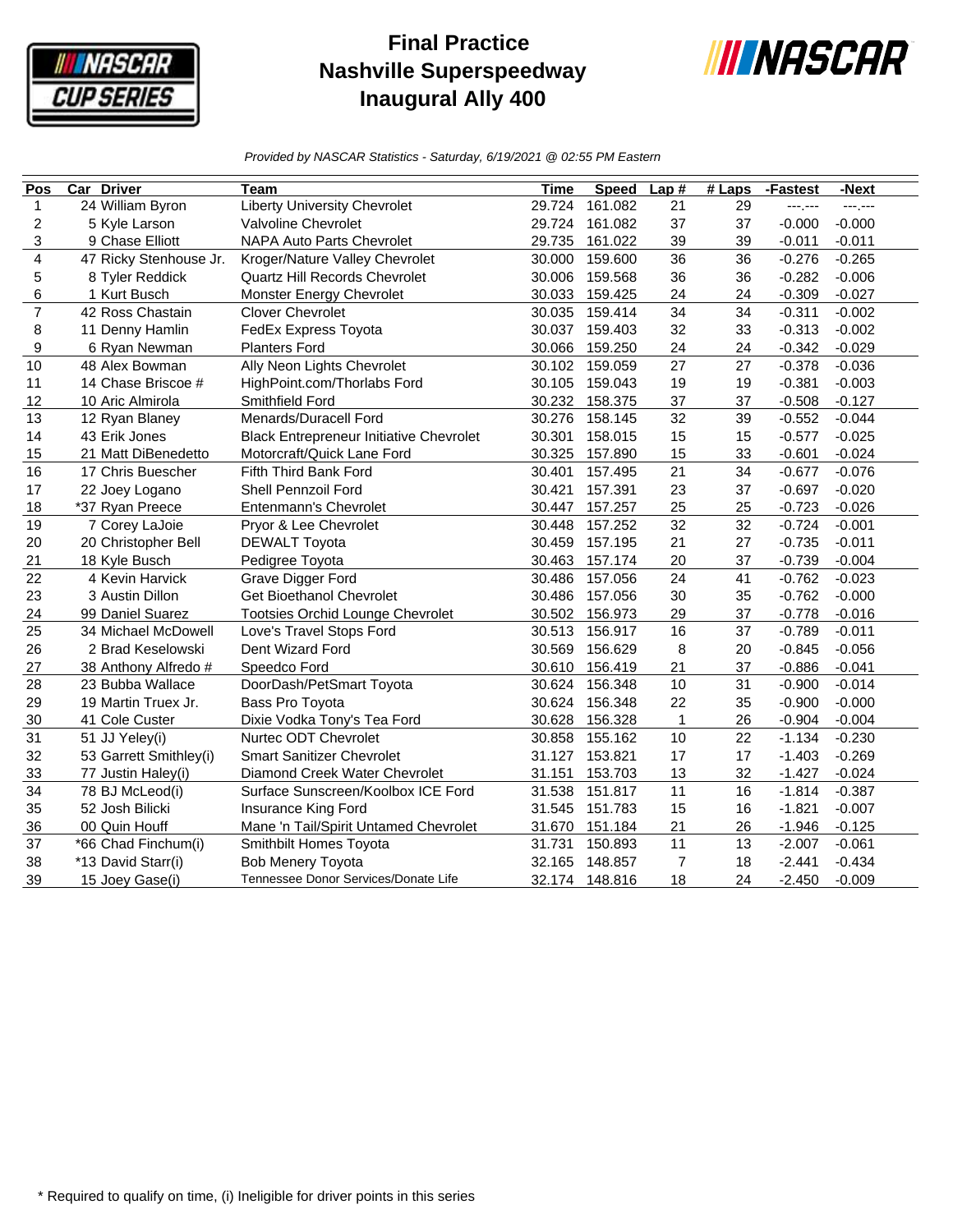

## **Final Practice Nashville Superspeedway Inaugural Ally 400**



*Provided by NASCAR Statistics - Saturday, 6/19/2021 @ 02:55 PM Eastern*

| Pos            | <b>Car Driver</b>      | Team                                           | Time   | <b>Speed</b>   | Lap#         | $#$ Laps | -Fastest | -Next    |
|----------------|------------------------|------------------------------------------------|--------|----------------|--------------|----------|----------|----------|
| 1              | 24 William Byron       | <b>Liberty University Chevrolet</b>            | 29.724 | 161.082        | 21           | 29       | ---;---  | ------   |
| 2              | 5 Kyle Larson          | Valvoline Chevrolet                            | 29.724 | 161.082        | 37           | 37       | $-0.000$ | $-0.000$ |
| 3              | 9 Chase Elliott        | <b>NAPA Auto Parts Chevrolet</b>               | 29.735 | 161.022        | 39           | 39       | $-0.011$ | $-0.011$ |
| 4              | 47 Ricky Stenhouse Jr. | Kroger/Nature Valley Chevrolet                 | 30.000 | 159.600        | 36           | 36       | $-0.276$ | $-0.265$ |
| 5              | 8 Tyler Reddick        | Quartz Hill Records Chevrolet                  | 30.006 | 159.568        | 36           | 36       | $-0.282$ | $-0.006$ |
| 6              | 1 Kurt Busch           | Monster Energy Chevrolet                       | 30.033 | 159.425        | 24           | 24       | $-0.309$ | $-0.027$ |
| $\overline{7}$ | 42 Ross Chastain       | <b>Clover Chevrolet</b>                        | 30.035 | 159.414        | 34           | 34       | $-0.311$ | $-0.002$ |
| 8              | 11 Denny Hamlin        | FedEx Express Toyota                           | 30.037 | 159.403        | 32           | 33       | $-0.313$ | $-0.002$ |
| 9              | 6 Ryan Newman          | <b>Planters Ford</b>                           | 30.066 | 159.250        | 24           | 24       | $-0.342$ | $-0.029$ |
| 10             | 48 Alex Bowman         | Ally Neon Lights Chevrolet                     | 30.102 | 159.059        | 27           | 27       | $-0.378$ | $-0.036$ |
| 11             | 14 Chase Briscoe #     | HighPoint.com/Thorlabs Ford                    | 30.105 | 159.043        | 19           | 19       | $-0.381$ | $-0.003$ |
| 12             | 10 Aric Almirola       | Smithfield Ford                                | 30.232 | 158.375        | 37           | 37       | $-0.508$ | $-0.127$ |
| 13             | 12 Ryan Blaney         | Menards/Duracell Ford                          | 30.276 | 158.145        | 32           | 39       | $-0.552$ | $-0.044$ |
| 14             | 43 Erik Jones          | <b>Black Entrepreneur Initiative Chevrolet</b> | 30.301 | 158.015        | 15           | 15       | $-0.577$ | $-0.025$ |
| 15             | 21 Matt DiBenedetto    | Motorcraft/Quick Lane Ford                     | 30.325 | 157.890        | 15           | 33       | $-0.601$ | $-0.024$ |
| 16             | 17 Chris Buescher      | Fifth Third Bank Ford                          | 30.401 | 157.495        | 21           | 34       | $-0.677$ | $-0.076$ |
| 17             | 22 Joey Logano         | Shell Pennzoil Ford                            | 30.421 | 157.391        | 23           | 37       | $-0.697$ | $-0.020$ |
| 18             | *37 Ryan Preece        | Entenmann's Chevrolet                          | 30.447 | 157.257        | 25           | 25       | $-0.723$ | $-0.026$ |
| 19             | 7 Corey LaJoie         | Pryor & Lee Chevrolet                          | 30.448 | 157.252        | 32           | 32       | $-0.724$ | $-0.001$ |
| 20             | 20 Christopher Bell    | <b>DEWALT Toyota</b>                           | 30.459 | 157.195        | 21           | 27       | $-0.735$ | $-0.011$ |
| 21             | 18 Kyle Busch          | Pedigree Toyota                                | 30.463 | 157.174        | 20           | 37       | $-0.739$ | $-0.004$ |
| 22             | 4 Kevin Harvick        | Grave Digger Ford                              | 30.486 | 157.056        | 24           | 41       | $-0.762$ | $-0.023$ |
| 23             | 3 Austin Dillon        | <b>Get Bioethanol Chevrolet</b>                | 30.486 | 157.056        | 30           | 35       | $-0.762$ | $-0.000$ |
| 24             | 99 Daniel Suarez       | <b>Tootsies Orchid Lounge Chevrolet</b>        | 30.502 | 156.973        | 29           | 37       | $-0.778$ | $-0.016$ |
| 25             | 34 Michael McDowell    | Love's Travel Stops Ford                       | 30.513 | 156.917        | 16           | 37       | $-0.789$ | $-0.011$ |
| 26             | 2 Brad Keselowski      | Dent Wizard Ford                               | 30.569 | 156.629        | 8            | 20       | $-0.845$ | $-0.056$ |
| 27             | 38 Anthony Alfredo #   | Speedco Ford                                   | 30.610 | 156.419        | 21           | 37       | $-0.886$ | $-0.041$ |
| 28             | 23 Bubba Wallace       | DoorDash/PetSmart Toyota                       | 30.624 | 156.348        | 10           | 31       | $-0.900$ | $-0.014$ |
| 29             | 19 Martin Truex Jr.    | Bass Pro Toyota                                | 30.624 | 156.348        | 22           | 35       | $-0.900$ | $-0.000$ |
| 30             | 41 Cole Custer         | Dixie Vodka Tony's Tea Ford                    | 30.628 | 156.328        | $\mathbf{1}$ | 26       | $-0.904$ | $-0.004$ |
| 31             | 51 JJ Yeley(i)         | Nurtec ODT Chevrolet                           | 30.858 | 155.162        | 10           | 22       | $-1.134$ | $-0.230$ |
| 32             | 53 Garrett Smithley(i) | <b>Smart Sanitizer Chevrolet</b>               | 31.127 | 153.821        | 17           | 17       | $-1.403$ | $-0.269$ |
| 33             | 77 Justin Haley(i)     | Diamond Creek Water Chevrolet                  | 31.151 | 153.703        | 13           | 32       | $-1.427$ | $-0.024$ |
| 34             | 78 BJ McLeod(i)        | Surface Sunscreen/Koolbox ICE Ford             | 31.538 | 151.817        | 11           | 16       | $-1.814$ | $-0.387$ |
| 35             | 52 Josh Bilicki        | Insurance King Ford                            | 31.545 | 151.783        | 15           | 16       | $-1.821$ | $-0.007$ |
| 36             | 00 Quin Houff          | Mane 'n Tail/Spirit Untamed Chevrolet          | 31.670 | 151.184        | 21           | 26       | $-1.946$ | $-0.125$ |
| 37             | *66 Chad Finchum(i)    | Smithbilt Homes Toyota                         | 31.731 | 150.893        | 11           | 13       | $-2.007$ | $-0.061$ |
| 38             | *13 David Starr(i)     | <b>Bob Menery Toyota</b>                       | 32.165 | 148.857        | 7            | 18       | $-2.441$ | $-0.434$ |
| 39             | 15 Joey Gase(i)        | Tennessee Donor Services/Donate Life           |        | 32.174 148.816 | 18           | 24       | $-2.450$ | $-0.009$ |